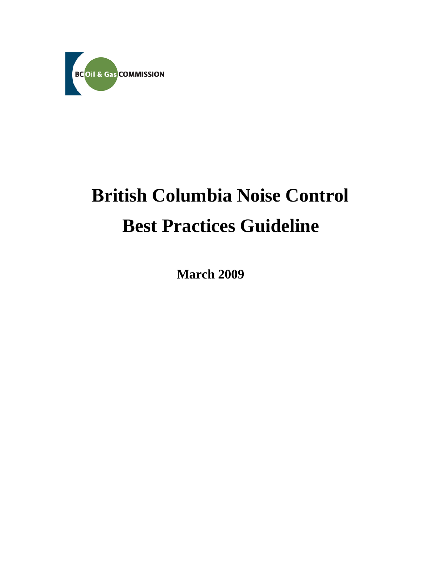

# **British Columbia Noise Control Best Practices Guideline**

 **March 2009**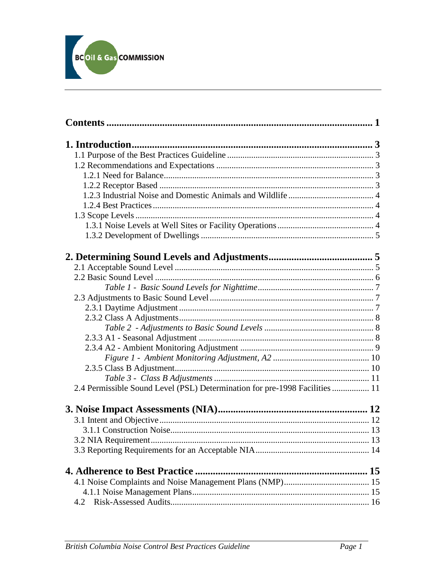

| 2.4 Permissible Sound Level (PSL) Determination for pre-1998 Facilities  11 |  |
|-----------------------------------------------------------------------------|--|
|                                                                             |  |
|                                                                             |  |
|                                                                             |  |
|                                                                             |  |
|                                                                             |  |
|                                                                             |  |
|                                                                             |  |
|                                                                             |  |
|                                                                             |  |
|                                                                             |  |
|                                                                             |  |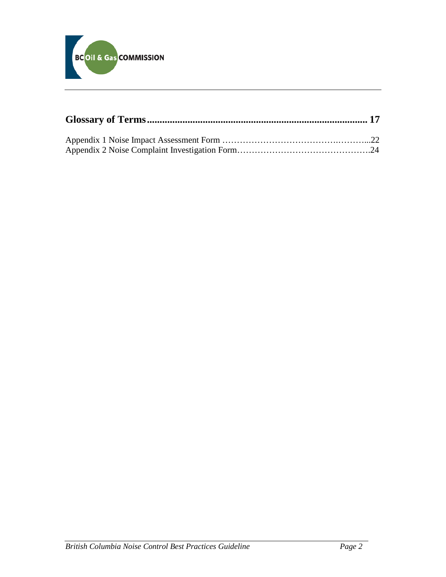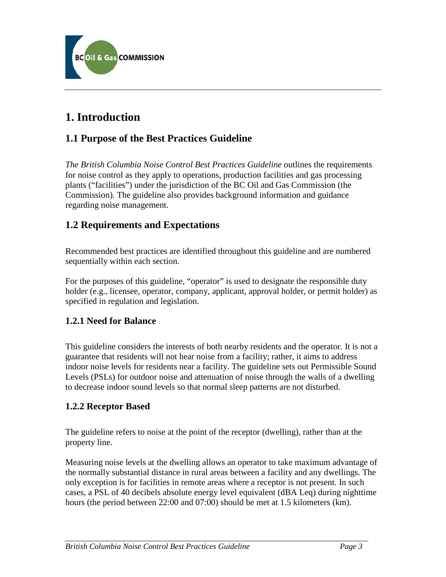

# <span id="page-3-0"></span>**1. Introduction**

# <span id="page-3-1"></span>**1.1 Purpose of the Best Practices Guideline**

*The British Columbia Noise Control Best Practices Guideline* outlines the requirements for noise control as they apply to operations, production facilities and gas processing plants ("facilities") under the jurisdiction of the BC Oil and Gas Commission (the Commission). The guideline also provides background information and guidance regarding noise management.

### <span id="page-3-2"></span>**1.2 Requirements and Expectations**

Recommended best practices are identified throughout this guideline and are numbered sequentially within each section.

For the purposes of this guideline, "operator" is used to designate the responsible duty holder (e.g., licensee, operator, company, applicant, approval holder, or permit holder) as specified in regulation and legislation.

### <span id="page-3-3"></span>**1.2.1 Need for Balance**

This guideline considers the interests of both nearby residents and the operator. It is not a guarantee that residents will not hear noise from a facility; rather, it aims to address indoor noise levels for residents near a facility. The guideline sets out Permissible Sound Levels (PSLs) for outdoor noise and attenuation of noise through the walls of a dwelling to decrease indoor sound levels so that normal sleep patterns are not disturbed.

### <span id="page-3-4"></span>**1.2.2 Receptor Based**

The guideline refers to noise at the point of the receptor (dwelling), rather than at the property line.

Measuring noise levels at the dwelling allows an operator to take maximum advantage of the normally substantial distance in rural areas between a facility and any dwellings. The only exception is for facilities in remote areas where a receptor is not present. In such cases, a PSL of 40 decibels absolute energy level equivalent (dBA Leq) during nighttime hours (the period between 22:00 and 07:00) should be met at 1.5 kilometers (km).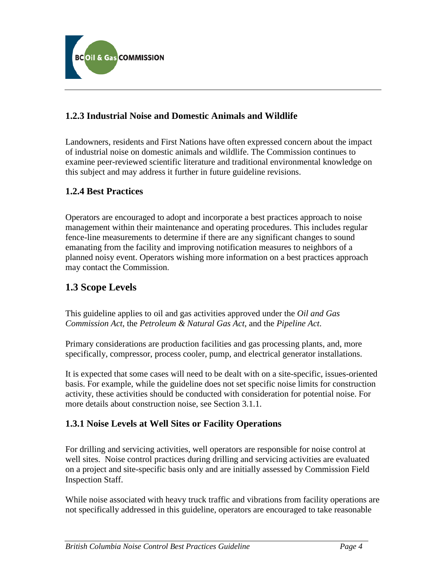

### <span id="page-4-0"></span>**1.2.3 Industrial Noise and Domestic Animals and Wildlife**

Landowners, residents and First Nations have often expressed concern about the impact of industrial noise on domestic animals and wildlife. The Commission continues to examine peer-reviewed scientific literature and traditional environmental knowledge on this subject and may address it further in future guideline revisions.

### <span id="page-4-1"></span>**1.2.4 Best Practices**

Operators are encouraged to adopt and incorporate a best practices approach to noise management within their maintenance and operating procedures. This includes regular fence-line measurements to determine if there are any significant changes to sound emanating from the facility and improving notification measures to neighbors of a planned noisy event. Operators wishing more information on a best practices approach may contact the Commission.

# <span id="page-4-2"></span>**1.3 Scope Levels**

This guideline applies to oil and gas activities approved under the *Oil and Gas Commission Act*, the *Petroleum & Natural Gas Act*, and the *Pipeline Act*.

Primary considerations are production facilities and gas processing plants, and, more specifically, compressor, process cooler, pump, and electrical generator installations.

It is expected that some cases will need to be dealt with on a site-specific, issues-oriented basis. For example, while the guideline does not set specific noise limits for construction activity, these activities should be conducted with consideration for potential noise. For more details about construction noise, see Section 3.1.1.

### <span id="page-4-3"></span>**1.3.1 Noise Levels at Well Sites or Facility Operations**

For drilling and servicing activities, well operators are responsible for noise control at well sites. Noise control practices during drilling and servicing activities are evaluated on a project and site-specific basis only and are initially assessed by Commission Field Inspection Staff.

While noise associated with heavy truck traffic and vibrations from facility operations are not specifically addressed in this guideline, operators are encouraged to take reasonable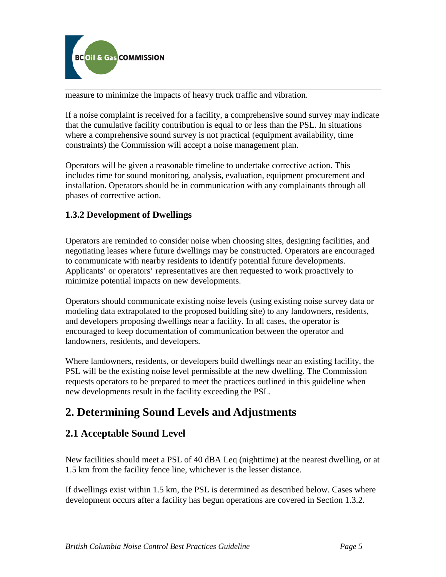

measure to minimize the impacts of heavy truck traffic and vibration.

If a noise complaint is received for a facility, a comprehensive sound survey may indicate that the cumulative facility contribution is equal to or less than the PSL. In situations where a comprehensive sound survey is not practical (equipment availability, time constraints) the Commission will accept a noise management plan.

Operators will be given a reasonable timeline to undertake corrective action. This includes time for sound monitoring, analysis, evaluation, equipment procurement and installation. Operators should be in communication with any complainants through all phases of corrective action.

### <span id="page-5-0"></span>**1.3.2 Development of Dwellings**

Operators are reminded to consider noise when choosing sites, designing facilities, and negotiating leases where future dwellings may be constructed. Operators are encouraged to communicate with nearby residents to identify potential future developments. Applicants' or operators' representatives are then requested to work proactively to minimize potential impacts on new developments.

Operators should communicate existing noise levels (using existing noise survey data or modeling data extrapolated to the proposed building site) to any landowners, residents, and developers proposing dwellings near a facility. In all cases, the operator is encouraged to keep documentation of communication between the operator and landowners, residents, and developers.

Where landowners, residents, or developers build dwellings near an existing facility, the PSL will be the existing noise level permissible at the new dwelling. The Commission requests operators to be prepared to meet the practices outlined in this guideline when new developments result in the facility exceeding the PSL.

# <span id="page-5-1"></span>**2. Determining Sound Levels and Adjustments**

# <span id="page-5-2"></span>**2.1 Acceptable Sound Level**

New facilities should meet a PSL of 40 dBA Leq (nighttime) at the nearest dwelling, or at 1.5 km from the facility fence line, whichever is the lesser distance.

If dwellings exist within 1.5 km, the PSL is determined as described below. Cases where development occurs after a facility has begun operations are covered in Section 1.3.2.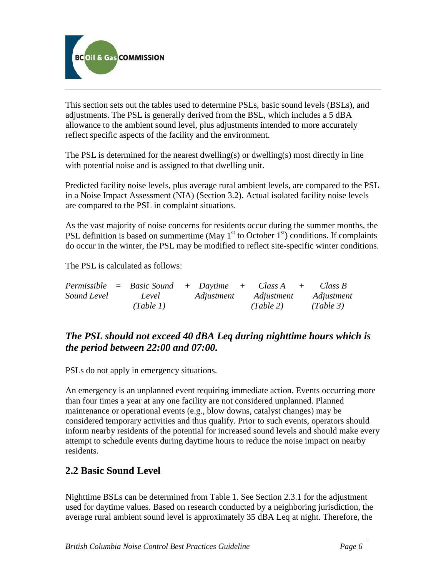

This section sets out the tables used to determine PSLs, basic sound levels (BSLs), and adjustments. The PSL is generally derived from the BSL, which includes a 5 dBA allowance to the ambient sound level, plus adjustments intended to more accurately reflect specific aspects of the facility and the environment.

The PSL is determined for the nearest dwelling(s) or dwelling(s) most directly in line with potential noise and is assigned to that dwelling unit.

Predicted facility noise levels, plus average rural ambient levels, are compared to the PSL in a Noise Impact Assessment (NIA) (Section 3.2). Actual isolated facility noise levels are compared to the PSL in complaint situations.

As the vast majority of noise concerns for residents occur during the summer months, the PSL definition is based on summertime (May  $1<sup>st</sup>$  to October  $1<sup>st</sup>$ ) conditions. If complaints do occur in the winter, the PSL may be modified to reflect site-specific winter conditions.

The PSL is calculated as follows:

|             | $Permissible = Basic Sound + Daytime + Class A +$ |            |            | Class B    |
|-------------|---------------------------------------------------|------------|------------|------------|
| Sound Level | Level                                             | Adjustment | Adjustment | Adjustment |
|             | (Table 1)                                         |            | (Table 2)  | (Table 3)  |

# *The PSL should not exceed 40 dBA Leq during nighttime hours which is the period between 22:00 and 07:00.*

PSLs do not apply in emergency situations.

An emergency is an unplanned event requiring immediate action. Events occurring more than four times a year at any one facility are not considered unplanned. Planned maintenance or operational events (e.g., blow downs, catalyst changes) may be considered temporary activities and thus qualify. Prior to such events, operators should inform nearby residents of the potential for increased sound levels and should make every attempt to schedule events during daytime hours to reduce the noise impact on nearby residents.

# <span id="page-6-0"></span>**2.2 Basic Sound Level**

Nighttime BSLs can be determined from Table 1. See Section 2.3.1 for the adjustment used for daytime values. Based on research conducted by a neighboring jurisdiction, the average rural ambient sound level is approximately 35 dBA Leq at night. Therefore, the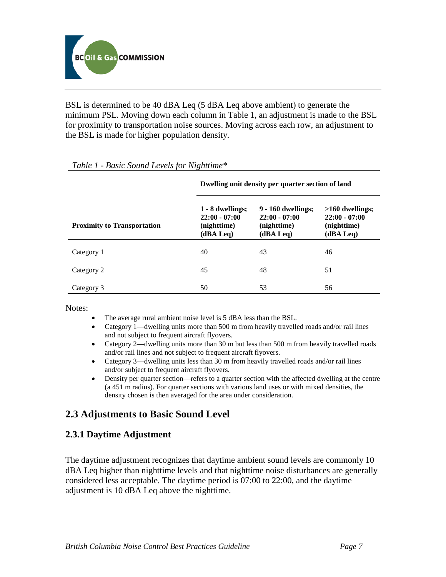

BSL is determined to be 40 dBA Leq (5 dBA Leq above ambient) to generate the minimum PSL. Moving down each column in Table 1, an adjustment is made to the BSL for proximity to transportation noise sources. Moving across each row, an adjustment to the BSL is made for higher population density.

|                                    | Dwelling unit density per quarter section of land               |                                                                   |                                                                  |  |
|------------------------------------|-----------------------------------------------------------------|-------------------------------------------------------------------|------------------------------------------------------------------|--|
| <b>Proximity to Transportation</b> | 1 - 8 dwellings;<br>$22:00 - 07:00$<br>(nighttime)<br>(dBA Leq) | 9 - 160 dwellings;<br>$22:00 - 07:00$<br>(nighttime)<br>(dBA Leg) | $>160$ dwellings;<br>$22:00 - 07:00$<br>(nighttime)<br>(dBA Leq) |  |
| Category 1                         | 40                                                              | 43                                                                | 46                                                               |  |
| Category 2                         | 45                                                              | 48                                                                | 51                                                               |  |
| Category 3                         | 50                                                              | 53                                                                | 56                                                               |  |

#### *Table 1 - Basic Sound Levels for Nighttime\**

Notes:

- The average rural ambient noise level is 5 dBA less than the BSL.
- Category 1—dwelling units more than 500 m from heavily travelled roads and/or rail lines and not subject to frequent aircraft flyovers.
- Category 2—dwelling units more than 30 m but less than 500 m from heavily travelled roads and/or rail lines and not subject to frequent aircraft flyovers.
- Category 3—dwelling units less than 30 m from heavily travelled roads and/or rail lines and/or subject to frequent aircraft flyovers.
- Density per quarter section—refers to a quarter section with the affected dwelling at the centre (a 451 m radius). For quarter sections with various land uses or with mixed densities, the density chosen is then averaged for the area under consideration.

# <span id="page-7-0"></span>**2.3 Adjustments to Basic Sound Level**

### <span id="page-7-1"></span>**2.3.1 Daytime Adjustment**

The daytime adjustment recognizes that daytime ambient sound levels are commonly 10 dBA Leq higher than nighttime levels and that nighttime noise disturbances are generally considered less acceptable. The daytime period is 07:00 to 22:00, and the daytime adjustment is 10 dBA Leq above the nighttime.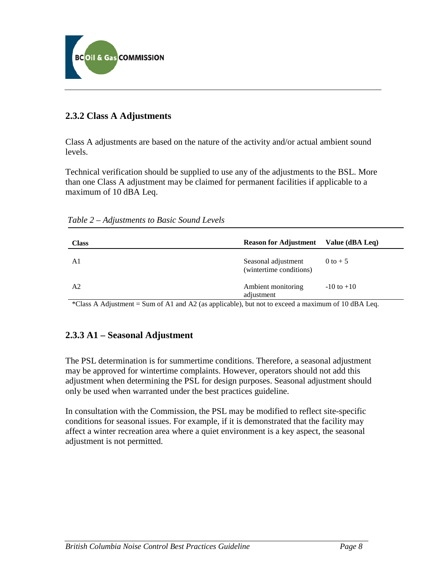

### <span id="page-8-0"></span>**2.3.2 Class A Adjustments**

Class A adjustments are based on the nature of the activity and/or actual ambient sound levels.

Technical verification should be supplied to use any of the adjustments to the BSL. More than one Class A adjustment may be claimed for permanent facilities if applicable to a maximum of 10 dBA Leq.

<span id="page-8-1"></span>

| <b>Class</b> | <b>Reason for Adjustment</b> Value (dBA Leq)   |                |
|--------------|------------------------------------------------|----------------|
| A1           | Seasonal adjustment<br>(wintertime conditions) | 0 to $+5$      |
| A2           | Ambient monitoring<br>adjustment               | $-10$ to $+10$ |

\*Class A Adjustment = Sum of A1 and A2 (as applicable), but not to exceed a maximum of 10 dBA Leq.

### <span id="page-8-2"></span>**2.3.3 A1 – Seasonal Adjustment**

The PSL determination is for summertime conditions. Therefore, a seasonal adjustment may be approved for wintertime complaints. However, operators should not add this adjustment when determining the PSL for design purposes. Seasonal adjustment should only be used when warranted under the best practices guideline.

<span id="page-8-3"></span>In consultation with the Commission, the PSL may be modified to reflect site-specific conditions for seasonal issues. For example, if it is demonstrated that the facility may affect a winter recreation area where a quiet environment is a key aspect, the seasonal adjustment is not permitted.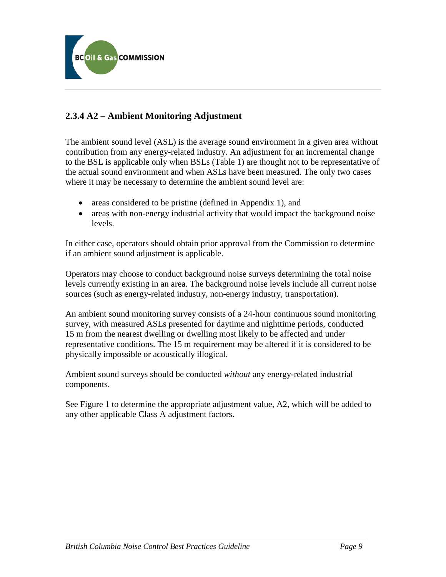

### **2.3.4 A2 – Ambient Monitoring Adjustment**

The ambient sound level (ASL) is the average sound environment in a given area without contribution from any energy-related industry. An adjustment for an incremental change to the BSL is applicable only when BSLs (Table 1) are thought not to be representative of the actual sound environment and when ASLs have been measured. The only two cases where it may be necessary to determine the ambient sound level are:

- areas considered to be pristine (defined in Appendix 1), and
- areas with non-energy industrial activity that would impact the background noise levels.

In either case, operators should obtain prior approval from the Commission to determine if an ambient sound adjustment is applicable.

Operators may choose to conduct background noise surveys determining the total noise levels currently existing in an area. The background noise levels include all current noise sources (such as energy-related industry, non-energy industry, transportation).

An ambient sound monitoring survey consists of a 24-hour continuous sound monitoring survey, with measured ASLs presented for daytime and nighttime periods, conducted 15 m from the nearest dwelling or dwelling most likely to be affected and under representative conditions. The 15 m requirement may be altered if it is considered to be physically impossible or acoustically illogical.

Ambient sound surveys should be conducted *without* any energy-related industrial components.

See Figure 1 to determine the appropriate adjustment value, A2, which will be added to any other applicable Class A adjustment factors.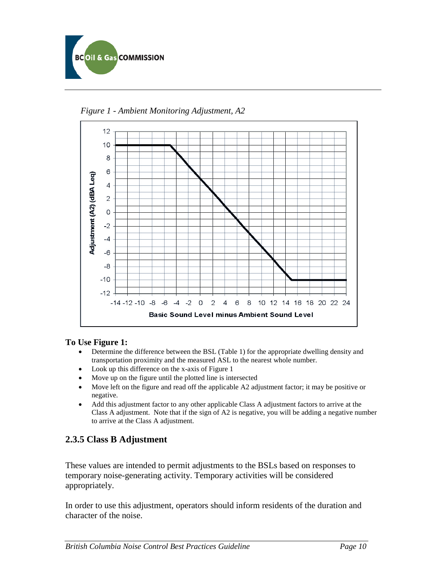



<span id="page-10-0"></span>*Figure 1 - Ambient Monitoring Adjustment, A2* 

#### **To Use Figure 1:**

- Determine the difference between the BSL (Table 1) for the appropriate dwelling density and transportation proximity and the measured ASL to the nearest whole number.
- Look up this difference on the x-axis of Figure 1
- Move up on the figure until the plotted line is intersected
- Move left on the figure and read off the applicable A2 adjustment factor; it may be positive or negative.
- <span id="page-10-1"></span>• Add this adjustment factor to any other applicable Class A adjustment factors to arrive at the Class A adjustment. Note that if the sign of A2 is negative, you will be adding a negative number to arrive at the Class A adjustment.

### **2.3.5 Class B Adjustment**

These values are intended to permit adjustments to the BSLs based on responses to temporary noise-generating activity. Temporary activities will be considered appropriately.

In order to use this adjustment, operators should inform residents of the duration and character of the noise.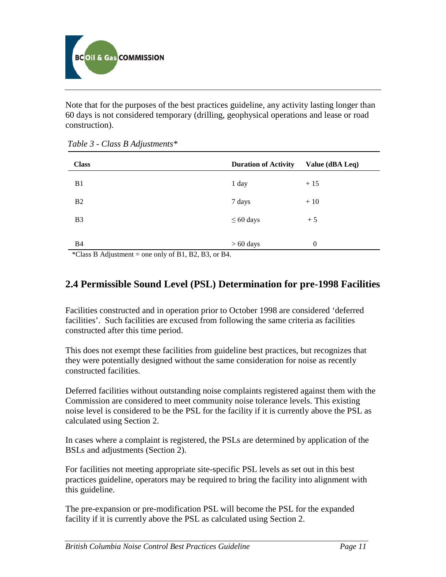

Note that for the purposes of the best practices guideline, any activity lasting longer than 60 days is not considered temporary (drilling, geophysical operations and lease or road construction).

| <b>Class</b>   | <b>Duration of Activity</b> | Value (dBA Leq) |
|----------------|-----------------------------|-----------------|
| B <sub>1</sub> | 1 day                       | $+15$           |
| B <sub>2</sub> | 7 days                      | $+10$           |
| B <sub>3</sub> | $\leq 60$ days              | $+5$            |
|                |                             |                 |
| <b>B4</b>      | $> 60$ days                 | $\theta$        |

<span id="page-11-0"></span>*Table 3 - Class B Adjustments\** 

\*Class B Adjustment = one only of B1, B2, B3, or B4.

# <span id="page-11-1"></span>**2.4 Permissible Sound Level (PSL) Determination for pre-1998 Facilities**

Facilities constructed and in operation prior to October 1998 are considered 'deferred facilities'. Such facilities are excused from following the same criteria as facilities constructed after this time period.

This does not exempt these facilities from guideline best practices, but recognizes that they were potentially designed without the same consideration for noise as recently constructed facilities.

Deferred facilities without outstanding noise complaints registered against them with the Commission are considered to meet community noise tolerance levels. This existing noise level is considered to be the PSL for the facility if it is currently above the PSL as calculated using Section 2.

In cases where a complaint is registered, the PSLs are determined by application of the BSLs and adjustments (Section 2).

For facilities not meeting appropriate site-specific PSL levels as set out in this best practices guideline, operators may be required to bring the facility into alignment with this guideline.

The pre-expansion or pre-modification PSL will become the PSL for the expanded facility if it is currently above the PSL as calculated using Section 2.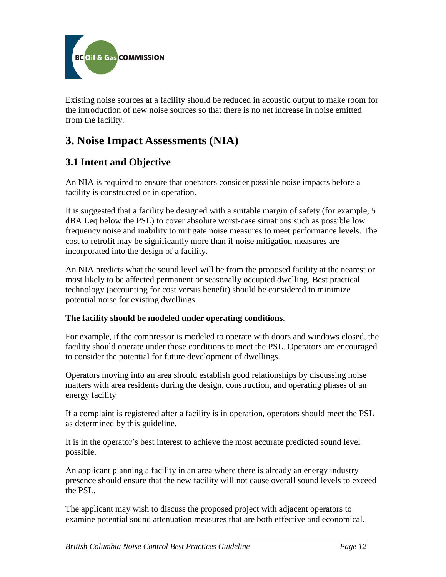

Existing noise sources at a facility should be reduced in acoustic output to make room for the introduction of new noise sources so that there is no net increase in noise emitted from the facility.

# <span id="page-12-0"></span>**3. Noise Impact Assessments (NIA)**

# <span id="page-12-1"></span>**3.1 Intent and Objective**

An NIA is required to ensure that operators consider possible noise impacts before a facility is constructed or in operation.

It is suggested that a facility be designed with a suitable margin of safety (for example, 5 dBA Leq below the PSL) to cover absolute worst-case situations such as possible low frequency noise and inability to mitigate noise measures to meet performance levels. The cost to retrofit may be significantly more than if noise mitigation measures are incorporated into the design of a facility.

An NIA predicts what the sound level will be from the proposed facility at the nearest or most likely to be affected permanent or seasonally occupied dwelling. Best practical technology (accounting for cost versus benefit) should be considered to minimize potential noise for existing dwellings.

#### **The facility should be modeled under operating conditions**.

For example, if the compressor is modeled to operate with doors and windows closed, the facility should operate under those conditions to meet the PSL. Operators are encouraged to consider the potential for future development of dwellings.

Operators moving into an area should establish good relationships by discussing noise matters with area residents during the design, construction, and operating phases of an energy facility

If a complaint is registered after a facility is in operation, operators should meet the PSL as determined by this guideline.

It is in the operator's best interest to achieve the most accurate predicted sound level possible.

An applicant planning a facility in an area where there is already an energy industry presence should ensure that the new facility will not cause overall sound levels to exceed the PSL.

The applicant may wish to discuss the proposed project with adjacent operators to examine potential sound attenuation measures that are both effective and economical.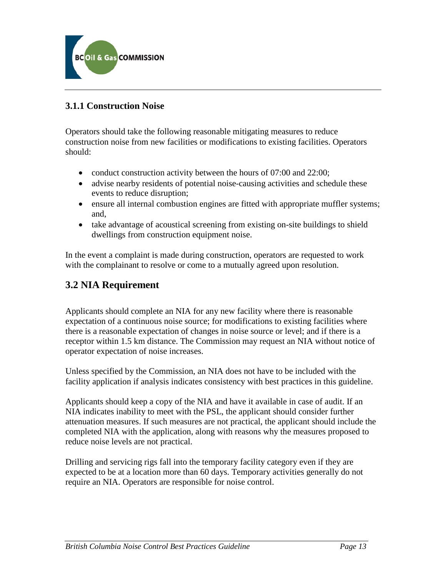

### <span id="page-13-0"></span>**3.1.1 Construction Noise**

Operators should take the following reasonable mitigating measures to reduce construction noise from new facilities or modifications to existing facilities. Operators should:

- conduct construction activity between the hours of 07:00 and 22:00;
- advise nearby residents of potential noise-causing activities and schedule these events to reduce disruption;
- ensure all internal combustion engines are fitted with appropriate muffler systems; and,
- take advantage of acoustical screening from existing on-site buildings to shield dwellings from construction equipment noise.

In the event a complaint is made during construction, operators are requested to work with the complainant to resolve or come to a mutually agreed upon resolution.

# <span id="page-13-1"></span>**3.2 NIA Requirement**

Applicants should complete an NIA for any new facility where there is reasonable expectation of a continuous noise source; for modifications to existing facilities where there is a reasonable expectation of changes in noise source or level; and if there is a receptor within 1.5 km distance. The Commission may request an NIA without notice of operator expectation of noise increases.

Unless specified by the Commission, an NIA does not have to be included with the facility application if analysis indicates consistency with best practices in this guideline.

Applicants should keep a copy of the NIA and have it available in case of audit. If an NIA indicates inability to meet with the PSL, the applicant should consider further attenuation measures. If such measures are not practical, the applicant should include the completed NIA with the application, along with reasons why the measures proposed to reduce noise levels are not practical.

Drilling and servicing rigs fall into the temporary facility category even if they are expected to be at a location more than 60 days. Temporary activities generally do not require an NIA. Operators are responsible for noise control.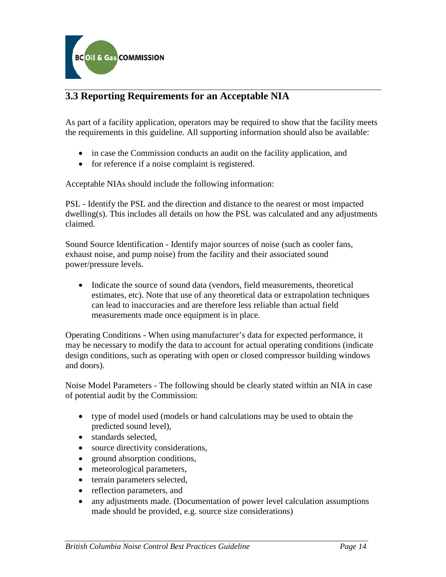

# <span id="page-14-0"></span>**3.3 Reporting Requirements for an Acceptable NIA**

As part of a facility application, operators may be required to show that the facility meets the requirements in this guideline*.* All supporting information should also be available:

- in case the Commission conducts an audit on the facility application, and
- for reference if a noise complaint is registered.

Acceptable NIAs should include the following information:

PSL - Identify the PSL and the direction and distance to the nearest or most impacted dwelling(s). This includes all details on how the PSL was calculated and any adjustments claimed.

Sound Source Identification - Identify major sources of noise (such as cooler fans, exhaust noise, and pump noise) from the facility and their associated sound power/pressure levels.

• Indicate the source of sound data (vendors, field measurements, theoretical estimates, etc). Note that use of any theoretical data or extrapolation techniques can lead to inaccuracies and are therefore less reliable than actual field measurements made once equipment is in place.

Operating Conditions - When using manufacturer's data for expected performance, it may be necessary to modify the data to account for actual operating conditions (indicate design conditions, such as operating with open or closed compressor building windows and doors).

Noise Model Parameters - The following should be clearly stated within an NIA in case of potential audit by the Commission:

- type of model used (models or hand calculations may be used to obtain the predicted sound level),
- standards selected,
- source directivity considerations,
- ground absorption conditions,
- meteorological parameters,
- terrain parameters selected,
- reflection parameters, and
- any adjustments made. (Documentation of power level calculation assumptions made should be provided, e.g. source size considerations)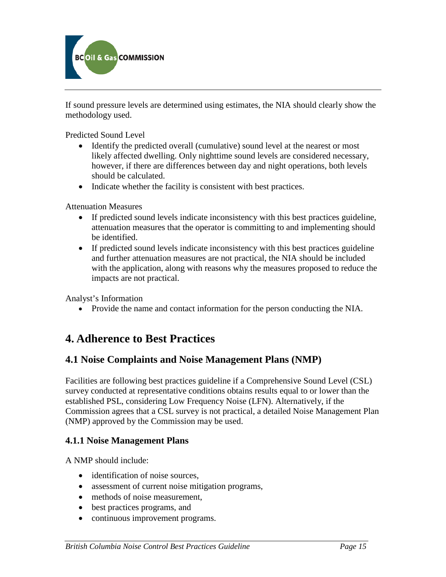

If sound pressure levels are determined using estimates, the NIA should clearly show the methodology used.

Predicted Sound Level

- Identify the predicted overall (cumulative) sound level at the nearest or most likely affected dwelling. Only nighttime sound levels are considered necessary, however, if there are differences between day and night operations, both levels should be calculated.
- Indicate whether the facility is consistent with best practices.

Attenuation Measures

- If predicted sound levels indicate inconsistency with this best practices guideline, attenuation measures that the operator is committing to and implementing should be identified.
- If predicted sound levels indicate inconsistency with this best practices guideline and further attenuation measures are not practical, the NIA should be included with the application, along with reasons why the measures proposed to reduce the impacts are not practical.

Analyst's Information

• Provide the name and contact information for the person conducting the NIA.

# <span id="page-15-0"></span>**4. Adherence to Best Practices**

### <span id="page-15-1"></span>**4.1 Noise Complaints and Noise Management Plans (NMP)**

Facilities are following best practices guideline if a Comprehensive Sound Level (CSL) survey conducted at representative conditions obtains results equal to or lower than the established PSL, considering Low Frequency Noise (LFN). Alternatively, if the Commission agrees that a CSL survey is not practical, a detailed Noise Management Plan (NMP) approved by the Commission may be used.

#### **4.1.1 Noise Management Plans**

A NMP should include:

- <span id="page-15-2"></span>• identification of noise sources,
- assessment of current noise mitigation programs,
- methods of noise measurement,
- best practices programs, and
- continuous improvement programs.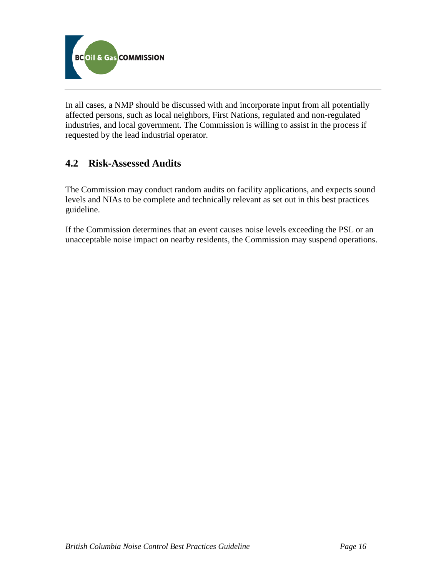

In all cases, a NMP should be discussed with and incorporate input from all potentially affected persons, such as local neighbors, First Nations, regulated and non-regulated industries, and local government. The Commission is willing to assist in the process if requested by the lead industrial operator.

# <span id="page-16-0"></span>**4.2 Risk-Assessed Audits**

The Commission may conduct random audits on facility applications, and expects sound levels and NIAs to be complete and technically relevant as set out in this best practices guideline.

<span id="page-16-1"></span>If the Commission determines that an event causes noise levels exceeding the PSL or an unacceptable noise impact on nearby residents, the Commission may suspend operations.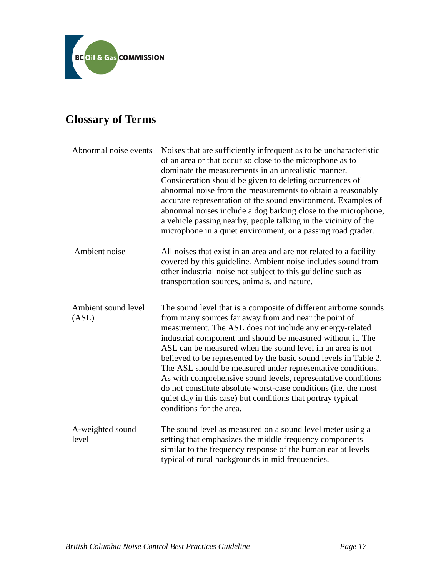

# **Glossary of Terms**

| Abnormal noise events        | Noises that are sufficiently infrequent as to be uncharacteristic<br>of an area or that occur so close to the microphone as to<br>dominate the measurements in an unrealistic manner.<br>Consideration should be given to deleting occurrences of<br>abnormal noise from the measurements to obtain a reasonably<br>accurate representation of the sound environment. Examples of<br>abnormal noises include a dog barking close to the microphone,<br>a vehicle passing nearby, people talking in the vicinity of the<br>microphone in a quiet environment, or a passing road grader.                                                                                               |
|------------------------------|--------------------------------------------------------------------------------------------------------------------------------------------------------------------------------------------------------------------------------------------------------------------------------------------------------------------------------------------------------------------------------------------------------------------------------------------------------------------------------------------------------------------------------------------------------------------------------------------------------------------------------------------------------------------------------------|
| Ambient noise                | All noises that exist in an area and are not related to a facility<br>covered by this guideline. Ambient noise includes sound from<br>other industrial noise not subject to this guideline such as<br>transportation sources, animals, and nature.                                                                                                                                                                                                                                                                                                                                                                                                                                   |
| Ambient sound level<br>(ASL) | The sound level that is a composite of different airborne sounds<br>from many sources far away from and near the point of<br>measurement. The ASL does not include any energy-related<br>industrial component and should be measured without it. The<br>ASL can be measured when the sound level in an area is not<br>believed to be represented by the basic sound levels in Table 2.<br>The ASL should be measured under representative conditions.<br>As with comprehensive sound levels, representative conditions<br>do not constitute absolute worst-case conditions (i.e. the most<br>quiet day in this case) but conditions that portray typical<br>conditions for the area. |
| A-weighted sound<br>level    | The sound level as measured on a sound level meter using a<br>setting that emphasizes the middle frequency components<br>similar to the frequency response of the human ear at levels<br>typical of rural backgrounds in mid frequencies.                                                                                                                                                                                                                                                                                                                                                                                                                                            |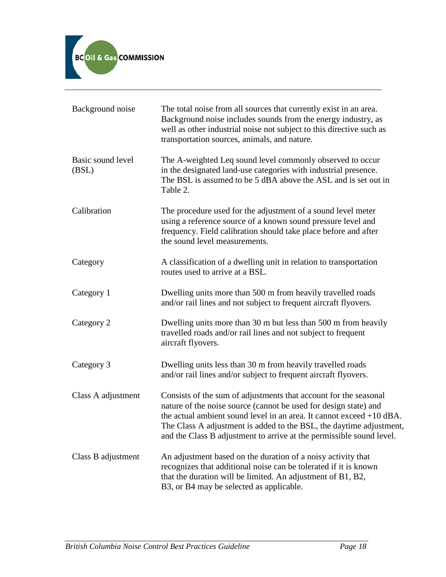

| Background noise           | The total noise from all sources that currently exist in an area.<br>Background noise includes sounds from the energy industry, as<br>well as other industrial noise not subject to this directive such as<br>transportation sources, animals, and nature.                                                                                                    |
|----------------------------|---------------------------------------------------------------------------------------------------------------------------------------------------------------------------------------------------------------------------------------------------------------------------------------------------------------------------------------------------------------|
| Basic sound level<br>(BSL) | The A-weighted Leq sound level commonly observed to occur<br>in the designated land-use categories with industrial presence.<br>The BSL is assumed to be 5 dBA above the ASL and is set out in<br>Table 2.                                                                                                                                                    |
| Calibration                | The procedure used for the adjustment of a sound level meter<br>using a reference source of a known sound pressure level and<br>frequency. Field calibration should take place before and after<br>the sound level measurements.                                                                                                                              |
| Category                   | A classification of a dwelling unit in relation to transportation<br>routes used to arrive at a BSL.                                                                                                                                                                                                                                                          |
| Category 1                 | Dwelling units more than 500 m from heavily travelled roads<br>and/or rail lines and not subject to frequent aircraft flyovers.                                                                                                                                                                                                                               |
| Category 2                 | Dwelling units more than 30 m but less than 500 m from heavily<br>travelled roads and/or rail lines and not subject to frequent<br>aircraft flyovers.                                                                                                                                                                                                         |
| Category 3                 | Dwelling units less than 30 m from heavily travelled roads<br>and/or rail lines and/or subject to frequent aircraft flyovers.                                                                                                                                                                                                                                 |
| Class A adjustment         | Consists of the sum of adjustments that account for the seasonal<br>nature of the noise source (cannot be used for design state) and<br>the actual ambient sound level in an area. It cannot exceed $+10$ dBA.<br>The Class A adjustment is added to the BSL, the daytime adjustment,<br>and the Class B adjustment to arrive at the permissible sound level. |
| Class B adjustment         | An adjustment based on the duration of a noisy activity that<br>recognizes that additional noise can be tolerated if it is known<br>that the duration will be limited. An adjustment of B1, B2,<br>B3, or B4 may be selected as applicable.                                                                                                                   |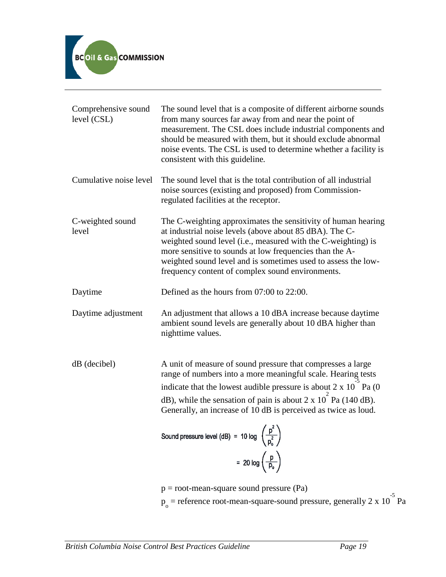

| Comprehensive sound<br>level (CSL) | The sound level that is a composite of different airborne sounds<br>from many sources far away from and near the point of<br>measurement. The CSL does include industrial components and<br>should be measured with them, but it should exclude abnormal<br>noise events. The CSL is used to determine whether a facility is<br>consistent with this guideline.                                                                                                      |
|------------------------------------|----------------------------------------------------------------------------------------------------------------------------------------------------------------------------------------------------------------------------------------------------------------------------------------------------------------------------------------------------------------------------------------------------------------------------------------------------------------------|
| Cumulative noise level             | The sound level that is the total contribution of all industrial<br>noise sources (existing and proposed) from Commission-<br>regulated facilities at the receptor.                                                                                                                                                                                                                                                                                                  |
| C-weighted sound<br>level          | The C-weighting approximates the sensitivity of human hearing<br>at industrial noise levels (above about 85 dBA). The C-<br>weighted sound level (i.e., measured with the C-weighting) is<br>more sensitive to sounds at low frequencies than the A-<br>weighted sound level and is sometimes used to assess the low-<br>frequency content of complex sound environments.                                                                                            |
| Daytime                            | Defined as the hours from 07:00 to 22:00.                                                                                                                                                                                                                                                                                                                                                                                                                            |
| Daytime adjustment                 | An adjustment that allows a 10 dBA increase because daytime<br>ambient sound levels are generally about 10 dBA higher than<br>nighttime values.                                                                                                                                                                                                                                                                                                                      |
| dB (decibel)                       | A unit of measure of sound pressure that compresses a large<br>range of numbers into a more meaningful scale. Hearing tests<br>indicate that the lowest audible pressure is about 2 x 10 <sup>-3</sup> Pa (0)<br>$dB$ ), while the sensation of pain is about 2 x 10 Pa (140 dB).<br>Generally, an increase of 10 dB is perceived as twice as loud.<br>Sound pressure level (dB) = 10 log $\left(\frac{p^2}{p_o^2}\right)$<br>= $20 \log \left(\frac{p}{p_o}\right)$ |

p = root-mean-square sound pressure (Pa)  $p_0$  = reference root-mean-square-sound pressure, generally 2 x 10<sup>-5</sup> Pa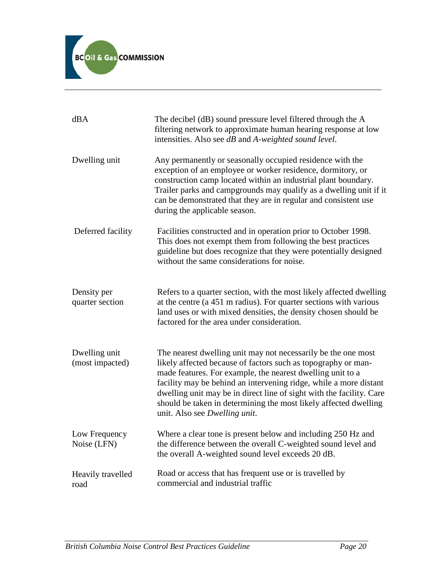

| dBA                              | The decibel (dB) sound pressure level filtered through the A<br>filtering network to approximate human hearing response at low<br>intensities. Also see dB and A-weighted sound level.                                                                                                                                                                                                                                                         |
|----------------------------------|------------------------------------------------------------------------------------------------------------------------------------------------------------------------------------------------------------------------------------------------------------------------------------------------------------------------------------------------------------------------------------------------------------------------------------------------|
| Dwelling unit                    | Any permanently or seasonally occupied residence with the<br>exception of an employee or worker residence, dormitory, or<br>construction camp located within an industrial plant boundary.<br>Trailer parks and campgrounds may qualify as a dwelling unit if it<br>can be demonstrated that they are in regular and consistent use<br>during the applicable season.                                                                           |
| Deferred facility                | Facilities constructed and in operation prior to October 1998.<br>This does not exempt them from following the best practices<br>guideline but does recognize that they were potentially designed<br>without the same considerations for noise.                                                                                                                                                                                                |
| Density per<br>quarter section   | Refers to a quarter section, with the most likely affected dwelling<br>at the centre (a 451 m radius). For quarter sections with various<br>land uses or with mixed densities, the density chosen should be<br>factored for the area under consideration.                                                                                                                                                                                      |
| Dwelling unit<br>(most impacted) | The nearest dwelling unit may not necessarily be the one most<br>likely affected because of factors such as topography or man-<br>made features. For example, the nearest dwelling unit to a<br>facility may be behind an intervening ridge, while a more distant<br>dwelling unit may be in direct line of sight with the facility. Care<br>should be taken in determining the most likely affected dwelling<br>unit. Also see Dwelling unit. |
| Low Frequency<br>Noise (LFN)     | Where a clear tone is present below and including 250 Hz and<br>the difference between the overall C-weighted sound level and<br>the overall A-weighted sound level exceeds 20 dB.                                                                                                                                                                                                                                                             |
| Heavily travelled<br>road        | Road or access that has frequent use or is travelled by<br>commercial and industrial traffic                                                                                                                                                                                                                                                                                                                                                   |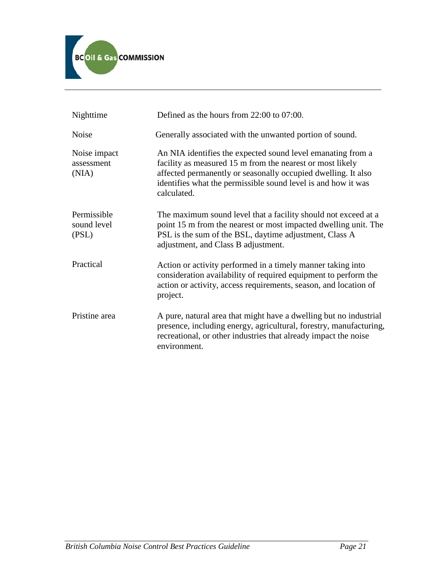

| Nighttime                           | Defined as the hours from 22:00 to 07:00.                                                                                                                                                                                                                                 |
|-------------------------------------|---------------------------------------------------------------------------------------------------------------------------------------------------------------------------------------------------------------------------------------------------------------------------|
| Noise                               | Generally associated with the unwanted portion of sound.                                                                                                                                                                                                                  |
| Noise impact<br>assessment<br>(NIA) | An NIA identifies the expected sound level emanating from a<br>facility as measured 15 m from the nearest or most likely<br>affected permanently or seasonally occupied dwelling. It also<br>identifies what the permissible sound level is and how it was<br>calculated. |
| Permissible<br>sound level<br>(PSL) | The maximum sound level that a facility should not exceed at a<br>point 15 m from the nearest or most impacted dwelling unit. The<br>PSL is the sum of the BSL, daytime adjustment, Class A<br>adjustment, and Class B adjustment.                                        |
| Practical                           | Action or activity performed in a timely manner taking into<br>consideration availability of required equipment to perform the<br>action or activity, access requirements, season, and location of<br>project.                                                            |
| Pristine area                       | A pure, natural area that might have a dwelling but no industrial<br>presence, including energy, agricultural, forestry, manufacturing,<br>recreational, or other industries that already impact the noise<br>environment.                                                |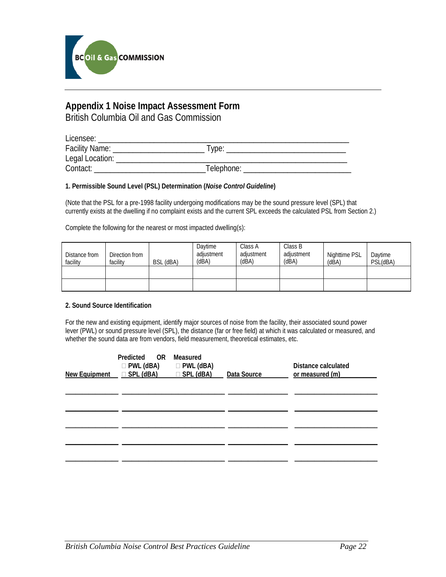

# **Appendix 1 Noise Impact Assessment Form**

British Columbia Oil and Gas Commission

| Licensee:             |            |  |
|-----------------------|------------|--|
| <b>Facility Name:</b> | I vpe:     |  |
| Legal Location:       |            |  |
| Contact:              | Telephone: |  |

#### **1. Permissible Sound Level (PSL) Determination (***Noise Control Guideline***)**

(Note that the PSL for a pre-1998 facility undergoing modifications may be the sound pressure level (SPL) that currently exists at the dwelling if no complaint exists and the current SPL exceeds the calculated PSL from Section 2.)

Complete the following for the nearest or most impacted dwelling(s):

| Distance from<br>facility | Direction from<br>facility | BSL (dBA) | Davtime<br>adiustment<br>(dBA) | Class A<br>adiustment<br>(dBA) | Class B<br>adiustment<br>(dBA) | Nighttime PSL<br>(dBA) | Davtime<br>PSL(dBA) |
|---------------------------|----------------------------|-----------|--------------------------------|--------------------------------|--------------------------------|------------------------|---------------------|
|                           |                            |           |                                |                                |                                |                        |                     |
|                           |                            |           |                                |                                |                                |                        |                     |

#### **2. Sound Source Identification**

For the new and existing equipment, identify major sources of noise from the facility, their associated sound power lever (PWL) or sound pressure level (SPL), the distance (far or free field) at which it was calculated or measured, and whether the sound data are from vendors, field measurement, theoretical estimates, etc.

| Predicted OR Measured<br>$\Box$ PWL (dBA) $\Box$ PWL (dBA)<br>New Equipment $\Box$ SPL (dBA) $\Box$ SPL (dBA) | Data Source | Distance calculated<br>or measured (m) |
|---------------------------------------------------------------------------------------------------------------|-------------|----------------------------------------|
|                                                                                                               |             |                                        |
|                                                                                                               |             |                                        |
|                                                                                                               |             |                                        |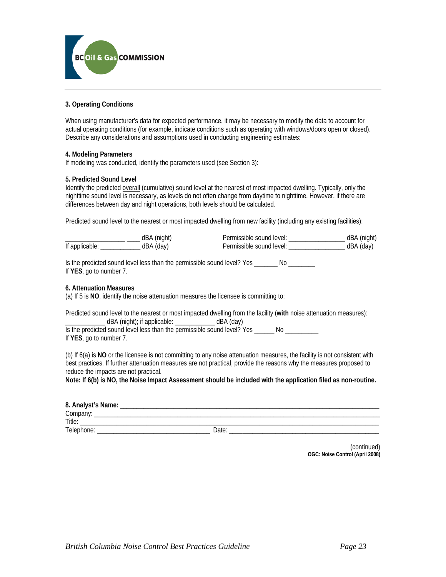

#### **3. Operating Conditions**

When using manufacturer's data for expected performance, it may be necessary to modify the data to account for actual operating conditions (for example, indicate conditions such as operating with windows/doors open or closed). Describe any considerations and assumptions used in conducting engineering estimates:

#### **4. Modeling Parameters**

If modeling was conducted, identify the parameters used (see Section 3):

#### **5. Predicted Sound Level**

Identify the predicted overall (cumulative) sound level at the nearest of most impacted dwelling. Typically, only the nighttime sound level is necessary, as levels do not often change from daytime to nighttime. However, if there are differences between day and night operations, both levels should be calculated.

Predicted sound level to the nearest or most impacted dwelling from new facility (including any existing facilities):

|               |      | Permissible sound level: | dRA.<br>l night |
|---------------|------|--------------------------|-----------------|
| If applicable | dBA. | Permissible sound level: |                 |

Is the predicted sound level less than the permissible sound level? Yes \_\_\_\_\_\_\_\_ No \_\_\_\_\_\_\_\_ If **YES**, go to number 7.

#### **6. Attenuation Measures**

(a) If 5 is **NO**, identify the noise attenuation measures the licensee is committing to:

Predicted sound level to the nearest or most impacted dwelling from the facility (**with** noise attenuation measures):  $dBA$  (night); if applicable:  $\frac{1}{2}$   $\frac{1}{2}$   $dBA$  (day) Is the predicted sound level less than the permissible sound level? Yes No

If **YES**, go to number 7.

(b) If 6(a) is **NO** or the licensee is not committing to any noise attenuation measures, the facility is not consistent with best practices. If further attenuation measures are not practical, provide the reasons why the measures proposed to reduce the impacts are not practical.

**Note: If 6(b) is NO, the Noise Impact Assessment should be included with the application filed as non-routine.**

| 8. Analyst's Name: |      |
|--------------------|------|
| Company:           |      |
| Title:             |      |
| Telephone:         | Date |

(continued) **OGC: Noise Control (April 2008)**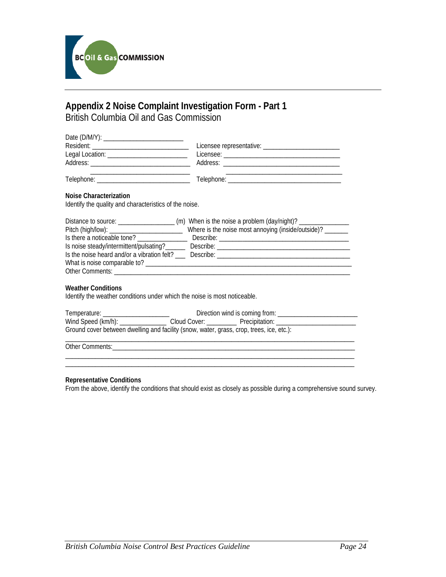

### **Appendix 2 Noise Complaint Investigation Form - Part 1** British Columbia Oil and Gas Commission

|                                        | Licensee representative: ________________ |
|----------------------------------------|-------------------------------------------|
| Legal Location: ______________________ |                                           |
| Address: ________________________      |                                           |
| Telephone:                             | Telephone:                                |

#### **Noise Characterization**

Identify the quality and characteristics of the noise.

| Distance to source:                         |                                                          |
|---------------------------------------------|----------------------------------------------------------|
|                                             | Where is the noise most annoying (inside/outside)? _____ |
| Is there a noticeable tone?                 | Describe:                                                |
| Is noise steady/intermittent/pulsating?     | Describe: ____________________                           |
| Is the noise heard and/or a vibration felt? | Describe:                                                |
| What is noise comparable to?                |                                                          |
| Other Comments:                             |                                                          |

#### **Weather Conditions**

Identify the weather conditions under which the noise is most noticeable.

| Temperature: _______________________                                                                           | Direction wind is coming from: ___________ |  |  |
|----------------------------------------------------------------------------------------------------------------|--------------------------------------------|--|--|
| Wind Speed (km/h): _______________                                                                             |                                            |  |  |
| Ground cover between dwelling and facility (snow, water, grass, crop, trees, ice, etc.):                       |                                            |  |  |
| Other Comments: The Comments of the Comments of the Comments of the Comments of the Comments of the Comments o |                                            |  |  |

\_\_\_\_\_\_\_\_\_\_\_\_\_\_\_\_\_\_\_\_\_\_\_\_\_\_\_\_\_\_\_\_\_\_\_\_\_\_\_\_\_\_\_\_\_\_\_\_\_\_\_\_\_\_\_\_\_\_\_\_\_\_\_\_\_\_\_\_\_\_\_\_\_\_\_\_\_\_\_\_\_\_\_\_\_\_\_

#### **Representative Conditions**

From the above, identify the conditions that should exist as closely as possible during a comprehensive sound survey.